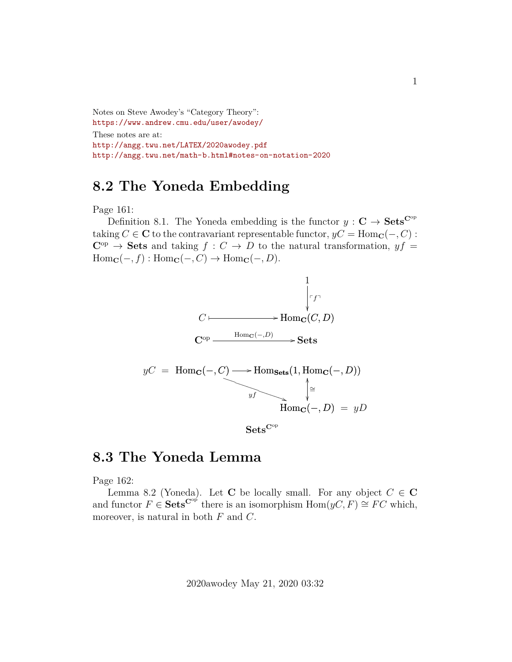Notes on Steve Awodey's "Category Theory": <https://www.andrew.cmu.edu/user/awodey/> These notes are at: <http://angg.twu.net/LATEX/2020awodey.pdf> <http://angg.twu.net/math-b.html#notes-on-notation-2020>

## **8.2 The Yoneda Embedding**

Page 161:

Definition 8.1. The Yoneda embedding is the functor  $y : \mathbf{C} \to \mathbf{Sets}^{\mathbf{C}^{\mathrm{op}}}$ taking  $C \in \mathbb{C}$  to the contravariant representable functor,  $yC = \text{Hom}_{\mathbb{C}}(-, C)$ :  $C^{op} \rightarrow$  Sets and taking  $f : C \rightarrow D$  to the natural transformation,  $yf =$  $\text{Hom}_{\mathbf{C}}(-, f) : \text{Hom}_{\mathbf{C}}(-, C) \to \text{Hom}_{\mathbf{C}}(-, D).$ 



 $Sets^{\text{Cop}}$ 

## **8.3 The Yoneda Lemma**

Page 162:

Lemma 8.2 (Yoneda). Let C be locally small. For any object  $C \in \mathbb{C}$ and functor  $F \in \mathbf{Sets}^{\mathbf{C}^{\mathrm{op}}}$  there is an isomorphism  $\text{Hom}(yC, F) \cong FC$  which, moreover, is natural in both  $F$  and  $C$ .

2020awodey May 21, 2020 03:32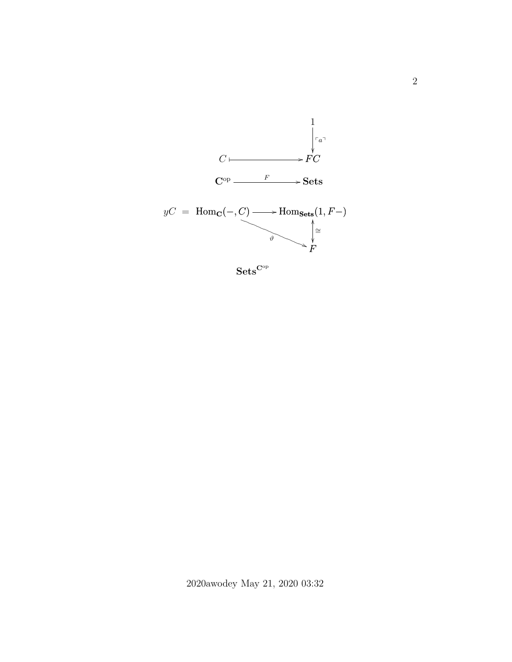

 $\mathbf{Sets}^{\mathbf{C}^\mathrm{op}}$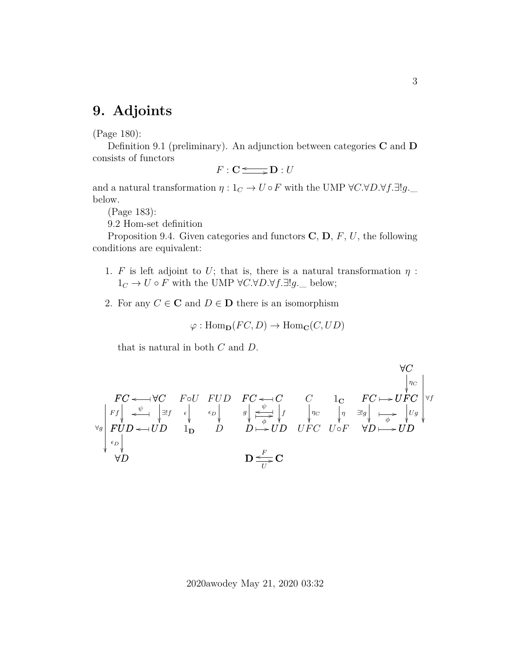## **9. Adjoints**

(Page 180):

Definition 9.1 (preliminary). An adjunction between categories  $C$  and  $D$ consists of functors

$$
F: \mathbf{C} \longrightarrow \mathbf{D}: U
$$

and a natural transformation  $\eta: 1_C \to U \circ F$  with the UMP  $\forall C \forall D \forall f \exists !g$ . below.

(Page 183):

9.2 Hom-set definition

Proposition 9.4. Given categories and functors  $\mathbf{C}, \mathbf{D}, F, U$ , the following conditions are equivalent:

- 1. F is left adjoint to U; that is, there is a natural transformation  $\eta$ :  $1_C \rightarrow U \circ F$  with the UMP ∀C.∀D.∀f.∃!g.\_ below;
- 2. For any  $C \in \mathbf{C}$  and  $D \in \mathbf{D}$  there is an isomorphism

$$
\varphi: \mathrm{Hom}_{\mathbf{D}}(FC, D) \to \mathrm{Hom}_{\mathbf{C}}(C, UD)
$$

that is natural in both C and D.

$$
FC \leftarrow \forall C
$$
\n
$$
\forall C
$$
\n
$$
\forall C
$$
\n
$$
\forall C
$$
\n
$$
\forall C
$$
\n
$$
\forall C
$$
\n
$$
\forall C
$$
\n
$$
\forall C
$$
\n
$$
\forall C
$$
\n
$$
\forall C
$$
\n
$$
\forall C
$$
\n
$$
\forall C
$$
\n
$$
\forall C
$$
\n
$$
\forall C
$$
\n
$$
\forall C
$$
\n
$$
\forall C
$$
\n
$$
\forall C
$$
\n
$$
\forall C
$$
\n
$$
\forall C
$$
\n
$$
\forall C
$$
\n
$$
\forall C
$$
\n
$$
\forall C
$$
\n
$$
\forall C
$$
\n
$$
\forall C
$$
\n
$$
\forall C
$$
\n
$$
\forall C
$$
\n
$$
\forall C
$$
\n
$$
\forall C
$$
\n
$$
\forall C
$$
\n
$$
\forall C
$$
\n
$$
\forall C
$$
\n
$$
\forall C
$$
\n
$$
\forall C
$$
\n
$$
\forall C
$$
\n
$$
\forall C
$$
\n
$$
\forall C
$$
\n
$$
\forall C
$$
\n
$$
\forall C
$$
\n
$$
\forall C
$$
\n
$$
\forall C
$$
\n
$$
\forall C
$$
\n
$$
\forall C
$$
\n
$$
\forall C
$$
\n
$$
\forall C
$$
\n
$$
\forall C
$$
\n
$$
\forall C
$$
\n
$$
\forall C
$$
\n
$$
\forall C
$$
\n
$$
\forall C
$$
\n
$$
\forall C
$$
\n
$$
\forall C
$$
\n
$$
\forall C
$$
\n
$$
\forall C
$$
\n
$$
\forall C
$$
\n
$$
\forall C
$$
\n
$$
\forall C
$$
\n
$$
\forall C
$$
\n
$$
\forall C
$$
\n
$$
\forall C
$$
\n
$$
\forall C
$$
\n
$$
\forall C
$$
\n
$$
\forall C
$$
\n
$$
\forall C
$$
\n<math display="</math>